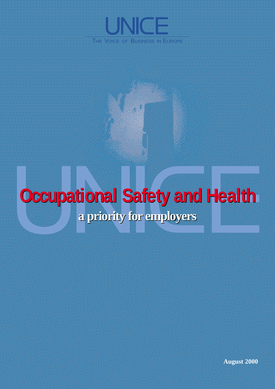

## **Occupational Safety and Health Occupational Safety and Health a priority for employers a priority for employers**

**August 2000**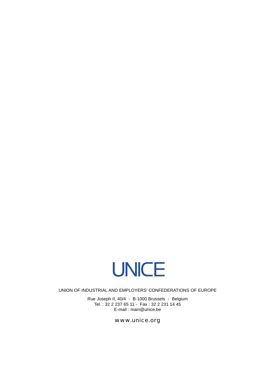

UNION OF INDUSTRIAL AND EMPLOYERS' CONFEDERATIONS OF EUROPE

Rue Joseph II, 40/4 - B-1000 Brussels - Belgium Tel. : 32 2 237 65 11 - Fax : 32 2 231 14 45 E-mail : main@unice.be

www.unice.org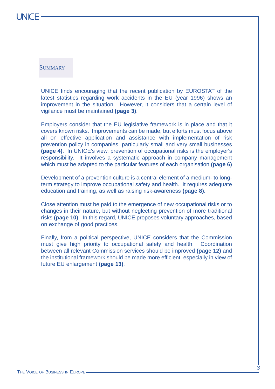## **SUMMARY**

UNICE finds encouraging that the recent publication by EUROSTAT of the latest statistics regarding work accidents in the EU (year 1996) shows an improvement in the situation. However, it considers that a certain level of vigilance must be maintained **(page 3)**.

Employers consider that the EU legislative framework is in place and that it covers known risks. Improvements can be made, but efforts must focus above all on effective application and assistance with implementation of risk prevention policy in companies, particularly small and very small businesses **(page 4)**. In UNICE's view, prevention of occupational risks is the employer's responsibility. It involves a systematic approach in company management which must be adapted to the particular features of each organisation **(page 6)**

Development of a prevention culture is a central element of a medium- to longterm strategy to improve occupational safety and health. It requires adequate education and training, as well as raising risk-awareness **(page 8)**.

Close attention must be paid to the emergence of new occupational risks or to changes in their nature, but without neglecting prevention of more traditional risks **(page 10)**. In this regard, UNICE proposes voluntary approaches, based on exchange of good practices.

Finally, from a political perspective, UNICE considers that the Commission must give high priority to occupational safety and health. Coordination between all relevant Commission services should be improved **(page 12)** and the institutional framework should be made more efficient, especially in view of future EU enlargement **(page 13)**.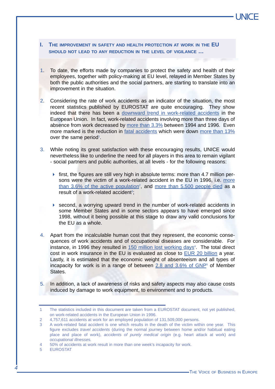- **I. THE IMPROVEMENT IN SAFETY AND HEALTH PROTECTION AT WORK IN THE EU SHOULD NOT LEAD TO ANY REDUCTION IN THE LEVEL OF VIGILANCE …**
- 1. To date, the efforts made by companies to protect the safety and health of their employees, together with policy-making at EU level, relayed in Member States by both the public authorities and the social partners, are starting to translate into an improvement in the situation.
- 2. Considering the rate of work accidents as an indicator of the situation, the most recent statistics published by EUROSTAT are quite encouraging. They show indeed that there has been a downward trend in work-related accidents in the European Union. In fact, work-related accidents involving more than three days of absence from work decreased by more than 3.3% between 1994 and 1996. Even more marked is the reduction in fatal accidents which were down more than 13% over the same period<sup>1</sup>.
- 3. While noting its great satisfaction with these encouraging results, UNICE would nevertheless like to underline the need for all players in this area to remain vigilant - social partners and public authorities, at all levels - for the following reasons:
	- $\triangleright$  first, the figures are still very high in absolute terms: more than 4.7 million persons were the victim of a work-related accident in the EU in 1996, i.e. more than 3.6% of the active population<sup>2</sup>, and more than 5,500 people died as a result of a work-related accident<sup>3</sup>;
	- $\triangleright$  second, a worrying upward trend in the number of work-related accidents in some Member States and in some sectors appears to have emerged since 1998, without it being possible at this stage to draw any valid conclusions for the EU as a whole.
- 4. Apart from the incalculable human cost that they represent, the economic consequences of work accidents and of occupational diseases are considerable. For instance, in 1996 they resulted in 150 million lost working days<sup>4</sup>. The total direct cost in work insurance in the EU is evaluated as close to EUR 20 billion a year. Lastly, it is estimated that the economic weight of absenteeism and all types of incapacity for work is in a range of between 2.8 and  $3.6\%$  of GNP<sup>5</sup> of Member **States**
- 5. In addition, a lack of awareness of risks and safety aspects may also cause costs induced by damage to work equipment, to environment and to products.

*4*

<sup>1</sup> The statistics included in this document are taken from a EUROSTAT document, not yet published, on work-related accidents in the European Union in 1996.

<sup>2 4,757,611</sup> accidents at work for an employed population of 131,509,000 persons.

<sup>3</sup> A work-related fatal accident is one which results in the death of the victim within one year. This figure excludes *travel accidents* (during the normal journey between home and/or habitual eating place and place of work), *accidents of purely medical origin* (e.g. heart attack at work) and *occupational illnesses.*

<sup>4 50%</sup> of accidents at work result in more than one week's incapacity for work.

<sup>5</sup> EUROSTAT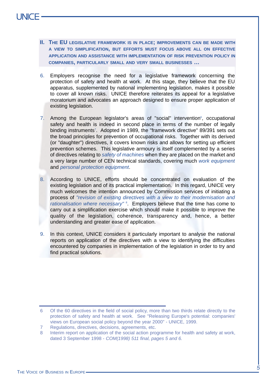- **II. THE EU LEGISLATIVE FRAMEWORK IS IN PLACE; IMPROVEMENTS CAN BE MADE WITH A VIEW TO SIMPLIFICATION, BUT EFFORTS MUST FOCUS ABOVE ALL ON EFFECTIVE APPLICATION AND ASSISTANCE WITH IMPLEMENTATION OF RISK PREVENTION POLICY IN COMPANIES, PARTICULARLY SMALL AND VERY SMALL BUSINESSES …**
- 6. Employers recognise the need for a legislative framework concerning the protection of safety and health at work. At this stage, they believe that the EU apparatus, supplemented by national implementing legislation, makes it possible to cover all known risks. UNICE therefore reiterates its appeal for a legislative moratorium and advocates an approach designed to ensure proper application of existing legislation.
- 7. Among the European legislator's areas of "social" intervention<sup>6</sup>, occupational safety and health is indeed in second place in terms of the number of legally binding instruments<sup>7</sup>. Adopted in 1989, the "framework directive" 89/391 sets out the broad principles for prevention of occupational risks. Together with its derived (or "daughter") directives, it covers known risks and allows for setting up efficient prevention schemes. This legislative armoury is itself complemented by a series of directives relating to *safety of machines* when they are placed on the market and a very large number of CEN technical standards, covering much *work equipment* and *personal protection equipment*.
- 8. According to UNICE, efforts should be concentrated on evaluation of the existing legislation and of its practical implementation. In this regard, UNICE very much welcomes the intention announced by Commission services of initiating a process of *"revision of existing directives with a view to their modernisation and* rationalisation where necessary"<sup>8</sup>. Employers believe that the time has come to carry out a simplification exercise which should make it possible to improve the quality of the legislation, coherence, transparency and, hence, a better understanding and greater ease of application.
- 9. In this context, UNICE considers it particularly important to analyse the national reports on application of the directives with a view to identifying the difficulties encountered by companies in implementation of the legislation in order to try and find practical solutions.

<sup>6</sup> Of the 60 directives in the field of social policy, more than two thirds relate directly to the protection of safety and health at work. See "Releasing Europe's potential: companies' views on European social policy beyond the year 2000" - UNICE, 1999.

<sup>7</sup> Regulations, directives, decisions, agreements, etc.

<sup>8</sup> Interim report on application of the social action programme for health and safety at work, dated 3 September 1998 - *COM(1998) 511 final, pages 5 and 6.*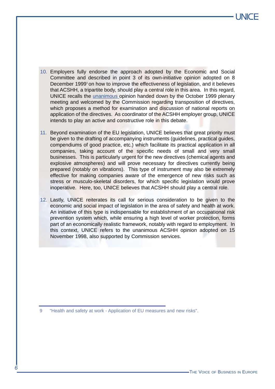- 10. Employers fully endorse the approach adopted by the Economic and Social Committee and described in point 3 of its own-initiative opinion adopted on 8 December 1999<sup>9</sup> on how to improve the effectiveness of legislation, and it believes that ACSHH, a tripartite body, should play a central role in this area. In this regard, UNICE recalls the unanimous opinion handed down by the October 1999 plenary meeting and welcomed by the Commission regarding transposition of directives, which proposes a method for examination and discussion of national reports on application of the directives. As coordinator of the ACSHH employer group, UNICE intends to play an active and constructive role in this debate.
- 11. Beyond examination of the EU legislation, UNICE believes that great priority must be given to the drafting of accompanying instruments (guidelines, practical guides, compendiums of good practice, etc.) which facilitate its practical application in all companies, taking account of the specific needs of small and very small businesses. This is particularly urgent for the new directives (chemical agents and explosive atmospheres) and will prove necessary for directives currently being prepared (notably on vibrations). This type of instrument may also be extremely effective for making companies aware of the emergence of new risks such as stress or musculo-skeletal disorders, for which specific legislation would prove inoperative. Here, too, UNICE believes that ACSHH should play a central role.
- 12. Lastly, UNICE reiterates its call for serious consideration to be given to the economic and social impact of legislation in the area of safety and health at work. An initiative of this type is indispensable for establishment of an occupational risk prevention system which, while ensuring a high level of worker protection, forms part of an economically realistic framework, notably with regard to employment. In this context, UNICE refers to the unanimous ACSHH opinion adopted on 15 November 1998, also supported by Commission services.

9 "Health and safety at work - Application of EU measures and new risks".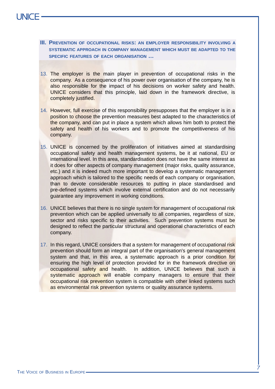- **III. PREVENTION OF OCCUPATIONAL RISKS: AN EMPLOYER RESPONSIBILITY INVOLVING A SYSTEMATIC APPROACH IN COMPANY MANAGEMENT WHICH MUST BE ADAPTED TO THE SPECIFIC FEATURES OF EACH ORGANISATION …**
- 13. The employer is the main player in prevention of occupational risks in the company. As a consequence of his power over organisation of the company, he is also responsible for the impact of his decisions on worker safety and health. UNICE considers that this principle, laid down in the framework directive, is completely justified.
- 14. However, full exercise of this responsibility presupposes that the employer is in a position to choose the prevention measures best adapted to the characteristics of the company, and can put in place a system which allows him both to protect the safety and health of his workers and to promote the competitiveness of his company.
- 15. UNICE is concerned by the proliferation of initiatives aimed at standardising occupational safety and health management systems, be it at national, EU or international level. In this area, standardisation does not have the same interest as it does for other aspects of company management (major risks, quality assurance, etc.) and it is indeed much more important to develop a systematic management approach which is tailored to the specific needs of each company or organisation, than to devote considerable resources to putting in place standardised and pre-defined systems which involve external certification and do not necessarily guarantee any improvement in working conditions.
- 16. UNICE believes that there is no single system for management of occupational risk prevention which can be applied universally to all companies, regardless of size, sector and risks specific to their activities. Such prevention systems must be designed to reflect the particular structural and operational characteristics of each company.
- 17. In this regard, UNICE considers that a system for management of occupational risk prevention should form an integral part of the organisation's general management system and that, in this area, a systematic approach is a prior condition for ensuring the high level of protection provided for in the framework directive on occupational safety and health. In addition, UNICE believes that such a systematic approach will enable company managers to ensure that their occupational risk prevention system is compatible with other linked systems such as environmental risk prevention systems or quality assurance systems.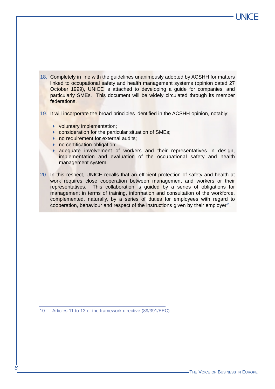- 18. Completely in line with the guidelines unanimously adopted by ACSHH for matters linked to occupational safety and health management systems (opinion dated 27 October 1999), UNICE is attached to developing a guide for companies, and particularly SMEs. This document will be widely circulated through its member federations.
- 19. It will incorporate the broad principles identified in the ACSHH opinion, notably:
	- **D** voluntary implementation;
	- **DEDITION CONSIDERATION FOR THE PARTICULAR SITUATION CONSIDERATION**
	- **I** no requirement for external audits;
	- **I** no certification obligation:
	- **adequate involvement of workers and their representatives in design,** implementation and evaluation of the occupational safety and health management system.
- 20. In this respect, UNICE recalls that an efficient protection of safety and health at work requires close cooperation between management and workers or their representatives. This collaboration is guided by a series of obligations for management in terms of training, information and consultation of the workforce, complemented, naturally, by a series of duties for employees with regard to cooperation, behaviour and respect of the instructions given by their employer<sup>10</sup>.

<sup>10</sup> Articles 11 to 13 of the framework directive (89/391/EEC)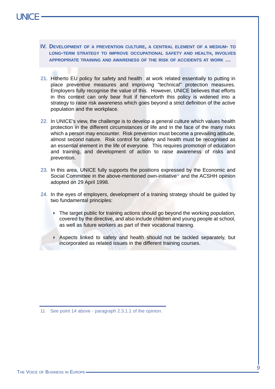- **IV. DEVELOPMENT OF A PREVENTION CULTURE, A CENTRAL ELEMENT OF A MEDIUM- TO LONG-TERM STRATEGY TO IMPROVE OCCUPATIONAL SAFETY AND HEALTH, INVOLVES APPROPRIATE TRAINING AND AWARENESS OF THE RISK OF ACCIDENTS AT WORK …**
- 21. Hitherto EU policy for safety and health at work related essentially to putting in place preventive measures and improving "technical" protection measures. Employers fully recognise the value of this. However, UNICE believes that efforts in this context can only bear fruit if henceforth this policy is widened into a strategy to raise risk awareness which goes beyond a strict definition of the active population and the workplace.
- 22. In UNICE's view, the challenge is to develop a general culture which values health protection in the different circumstances of life and in the face of the many risks which a person may encounter. Risk prevention must become a prevailing attitude, almost second nature. Risk control for safety and health must be recognised as an essential element in the life of everyone. This requires promotion of education and training, and development of action to raise awareness of risks and prevention.
- 23. In this area, UNICE fully supports the positions expressed by the Economic and Social Committee in the above-mentioned own-initiative<sup>11</sup> and the ACSHH opinion adopted on 29 April 1998.
- 24. In the eyes of employers, development of a training strategy should be guided by two fundamental principles:
	- I The target public for training actions should go beyond the working population, covered by the directive, and also include children and young people at school, as well as future workers as part of their vocational training.
	- **Aspects linked to safety and health should not be tackled separately, but** incorporated as related issues in the different training courses.

11 See point 14 above - paragraph 2.3.1.1 of the opinion.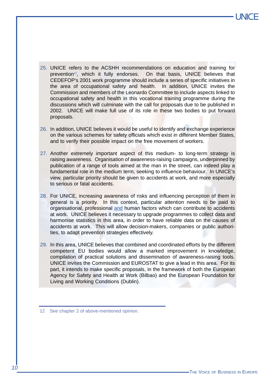- 25. UNICE refers to the ACSHH recommendations on education and training for prevention<sup>12</sup>, which it fully endorses. On that basis, UNICE believes that CEDEFOP's 2001 work programme should include a series of specific initiatives in the area of occupational safety and health. In addition, UNICE invites the Commission and members of the Leonardo Committee to include aspects linked to occupational safety and health in this vocational training programme during the discussions which will culminate with the call for proposals due to be published in 2002. UNICE will make full use of its role in these two bodies to put forward proposals.
- 26. In addition, UNICE believes it would be useful to identify and exchange experience on the various schemes for safety officials which exist in different Member States, and to verify their possible impact on the free movement of workers.
- 27. Another extremely important aspect of this medium- to long-term strategy is raising awareness. Organisation of awareness-raising campaigns, underpinned by publication of a range of tools aimed at the man in the street, can indeed play a fundamental role in the medium term, seeking to influence behaviour. In UNICE's view, particular priority should be given to accidents at work, and more especially to serious or fatal accidents.
- 28. For UNICE, increasing awareness of risks and influencing perception of them in general is a priority. In this context, particular attention needs to be paid to organisational, professional and human factors which can contribute to accidents at work. UNICE believes it necessary to upgrade programmes to collect data and harmonise statistics in this area, in order to have reliable data on the causes of accidents at work. This will allow decision-makers, companies or public authorities, to adapt prevention strategies effectively.
- 29. In this area, UNICE believes that combined and coordinated efforts by the different competent EU bodies would allow a marked improvement in knowledge, compilation of practical solutions and dissemination of awareness-raising tools. UNICE invites the Commission and EUROSTAT to give a lead in this area. For its part, it intends to make specific proposals, in the framework of both the European Agency for Safety and Health at Work (Bilbao) and the European Foundation for Living and Working Conditions (Dublin).
- 12 See chapter 2 of above-mentioned opinion.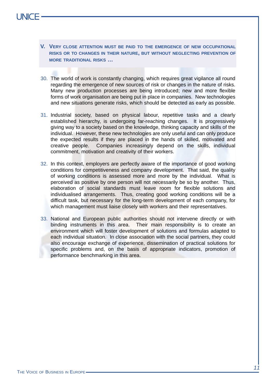- **V. VERY CLOSE ATTENTION MUST BE PAID TO THE EMERGENCE OF NEW OCCUPATIONAL RISKS OR TO CHANGES IN THEIR NATURE, BUT WITHOUT NEGLECTING PREVENTION OF MORE TRADITIONAL RISKS …**
- 30. The world of work is constantly changing, which requires great vigilance all round regarding the emergence of new sources of risk or changes in the nature of risks. Many new production processes are being introduced; new and more flexible forms of work organisation are being put in place in companies. New technologies and new situations generate risks, which should be detected as early as possible.
- 31. Industrial society, based on physical labour, repetitive tasks and a clearly established hierarchy, is undergoing far-reaching changes. It is progressively giving way to a society based on the knowledge, thinking capacity and skills of the individual. However, these new technologies are only useful and can only produce the expected results if they are placed in the hands of skilled, motivated and creative people. Companies increasingly depend on the skills, individual commitment, motivation and creativity of their workers.
- 32. In this context, employers are perfectly aware of the importance of good working conditions for competitiveness and company development. That said, the quality of working conditions is assessed more and more by the individual. What is perceived as positive by one person will not necessarily be so by another. Thus, elaboration of social standards must leave room for flexible solutions and individualised arrangements. Thus, creating good working conditions will be a difficult task, but necessary for the long-term development of each company, for which management must liaise closely with workers and their representatives.
- 33. National and European public authorities should not intervene directly or with binding instruments in this area. Their main responsibility is to create an environment which will foster development of solutions and formulas adapted to each individual situation. In close association with the social partners, they could also encourage exchange of experience, dissemination of practical solutions for specific problems and, on the basis of appropriate indicators, promotion of performance benchmarking in this area.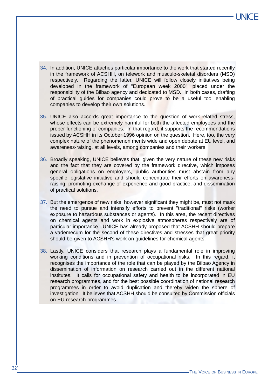- 34. In addition, UNICE attaches particular importance to the work that started recently in the framework of ACSHH, on telework and musculo-skeletal disorders (MSD) respectively. Regarding the latter, UNICE will follow closely initiatives being developed in the framework of "European week 2000", placed under the responsibility of the Bilbao agency and dedicated to MSD. In both cases, drafting of practical guides for companies could prove to be a useful tool enabling companies to develop their own solutions.
- 35. UNICE also accords great importance to the question of work-related stress, whose effects can be extremely harmful for both the affected employees and the proper functioning of companies. In that regard, it supports the recommendations issued by ACSHH in its October 1996 opinion on the question. Here, too, the very complex nature of the phenomenon merits wide and open debate at EU level, and awareness-raising, at all levels, among companies and their workers.
- 36. Broadly speaking, UNICE believes that, given the very nature of these new risks and the fact that they are covered by the framework directive, which imposes general obligations on employers, public authorities must abstain from any specific legislative initiative and should concentrate their efforts on awarenessraising, promoting exchange of experience and good practice, and dissemination of practical solutions.
- 37. But the emergence of new risks, however significant they might be, must not mask the need to pursue and intensify efforts to prevent "traditional" risks (worker exposure to hazardous substances or agents). In this area, the recent directives on chemical agents and work in explosive atmospheres respectively are of particular importance. UNICE has already proposed that ACSHH should prepare a vademecum for the second of these directives and stresses that great priority should be given to ACSHH's work on guidelines for chemical agents.
- 38. Lastly, UNICE considers that research plays a fundamental role in improving working conditions and in prevention of occupational risks. In this regard, it recognises the importance of the role that can be played by the Bilbao Agency in dissemination of information on research carried out in the different national institutes. It calls for occupational safety and health to be incorporated in EU research programmes, and for the best possible coordination of national research programmes in order to avoid duplication and thereby widen the sphere of investigation. It believes that ACSHH should be consulted by Commission officials on EU research programmes.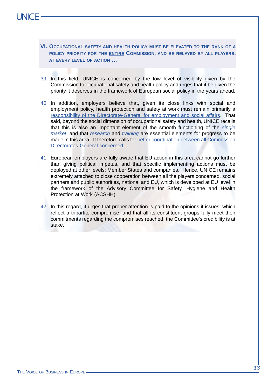- **VI. OCCUPATIONAL SAFETY AND HEALTH POLICY MUST BE ELEVATED TO THE RANK OF A POLICY PRIORITY FOR THE ENTIRE COMMISSION, AND BE RELAYED BY ALL PLAYERS, AT EVERY LEVEL OF ACTION …**
- 39. In this field, UNICE is concerned by the low level of visibility given by the Commission to occupational safety and health policy and urges that it be given the priority it deserves in the framework of European social policy in the years ahead.
- 40. In addition, employers believe that, given its close links with social and employment policy, health protection and safety at work must remain primarily a responsibility of the Directorate-General for employment and social affairs. That said, beyond the social dimension of occupational safety and health, UNICE recalls that this is also an important element of the smooth functioning of the *single market*, and that *research* and *training* are essential elements for progress to be made in this area. It therefore calls for better coordination between all Commission Directorates-General concerned.
- 41. European employers are fully aware that EU action in this area cannot go further than giving political impetus, and that specific implementing actions must be deployed at other levels: Member States and companies. Hence, UNICE remains extremely attached to close cooperation between all the players concerned, social partners and public authorities, national and EU, which is developed at EU level in the framework of the Advisory Committee for Safety, Hygiene and Health Protection at Work (ACSHH).
- 42. In this regard, it urges that proper attention is paid to the opinions it issues, which reflect a tripartite compromise, and that all its constituent groups fully meet their commitments regarding the compromises reached; the Committee's credibility is at stake.